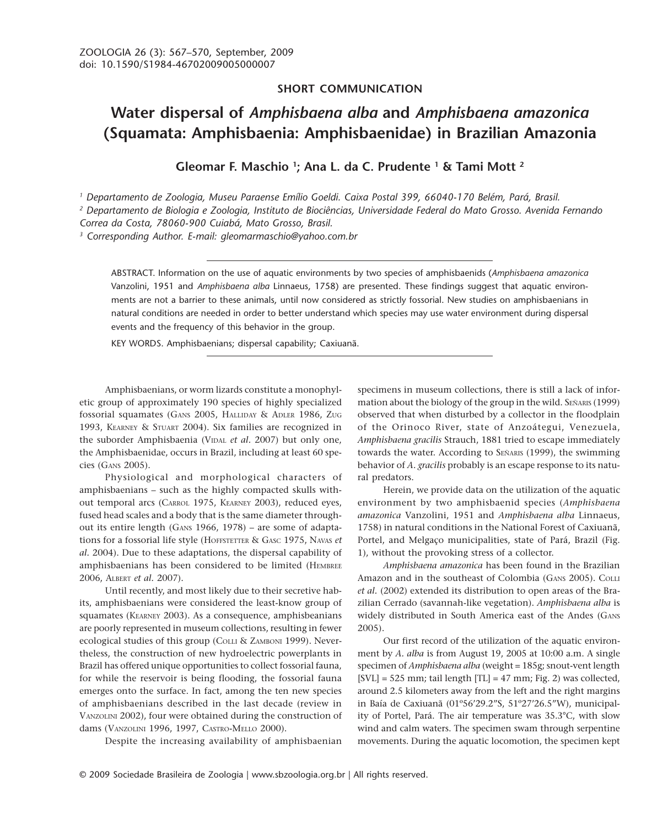## **SHORT COMMUNICATION**

## **Water dispersal of** *Amphisbaena alba* **and** *Amphisbaena amazonica* **(Squamata: Amphisbaenia: Amphisbaenidae) in Brazilian Amazonia**

**Gleomar F. Maschio 1 ; Ana L. da C. Prudente 1 & Tami Mott 2**

*1 Departamento de Zoologia, Museu Paraense Emílio Goeldi. Caixa Postal 399, 66040-170 Belém, Pará, Brasil.*

*2 Departamento de Biologia e Zoologia, Instituto de Biociências, Universidade Federal do Mato Grosso. Avenida Fernando*

*Correa da Costa, 78060-900 Cuiabá, Mato Grosso, Brasil.*

*3 Corresponding Author. E-mail: gleomarmaschio@yahoo.com.br*

ABSTRACT. Information on the use of aquatic environments by two species of amphisbaenids (*Amphisbaena amazonica* Vanzolini, 1951 and *Amphisbaena alba* Linnaeus, 1758) are presented. These findings suggest that aquatic environments are not a barrier to these animals, until now considered as strictly fossorial. New studies on amphisbaenians in natural conditions are needed in order to better understand which species may use water environment during dispersal events and the frequency of this behavior in the group.

KEY WORDS. Amphisbaenians; dispersal capability; Caxiuanã.

Amphisbaenians, or worm lizards constitute a monophyletic group of approximately 190 species of highly specialized fossorial squamates (GANS 2005, HALLIDAY & ADLER 1986, ZUG 1993, KEARNEY & STUART 2004). Six families are recognized in the suborder Amphisbaenia (VIDAL et al. 2007) but only one, the Amphisbaenidae, occurs in Brazil, including at least 60 species (GANS 2005).

Physiological and morphological characters of amphisbaenians – such as the highly compacted skulls without temporal arcs (CARROL 1975, KEARNEY 2003), reduced eyes, fused head scales and a body that is the same diameter throughout its entire length (GANS 1966, 1978) – are some of adaptations for a fossorial life style (HOFFSTETTER & GASC 1975, NAVAS *et al.* 2004). Due to these adaptations, the dispersal capability of amphisbaenians has been considered to be limited (HEMBREE 2006, ALBERT *et al.* 2007).

Until recently, and most likely due to their secretive habits, amphisbaenians were considered the least-know group of squamates (KEARNEY 2003). As a consequence, amphisbeanians are poorly represented in museum collections, resulting in fewer ecological studies of this group (COLLI & ZAMBONI 1999). Nevertheless, the construction of new hydroelectric powerplants in Brazil has offered unique opportunities to collect fossorial fauna, for while the reservoir is being flooding, the fossorial fauna emerges onto the surface. In fact, among the ten new species of amphisbaenians described in the last decade (review in VANZOLINI 2002), four were obtained during the construction of dams (VANZOLINI 1996, 1997, CASTRO-MELLO 2000).

Despite the increasing availability of amphisbaenian

specimens in museum collections, there is still a lack of information about the biology of the group in the wild. SEÑARIS (1999) observed that when disturbed by a collector in the floodplain of the Orinoco River, state of Anzoátegui, Venezuela, *Amphisbaena gracilis* Strauch, 1881 tried to escape immediately towards the water. According to SEÑARIS (1999), the swimming behavior of *A. gracilis* probably is an escape response to its natural predators.

Herein, we provide data on the utilization of the aquatic environment by two amphisbaenid species (*Amphisbaena amazonica* Vanzolini, 1951 and *Amphisbaena alba* Linnaeus, 1758) in natural conditions in the National Forest of Caxiuanã, Portel, and Melgaço municipalities, state of Pará, Brazil (Fig. 1), without the provoking stress of a collector.

*Amphisbaena amazonica* has been found in the Brazilian Amazon and in the southeast of Colombia (GANS 2005). COLLI *et al.* (2002) extended its distribution to open areas of the Brazilian Cerrado (savannah-like vegetation). *Amphisbaena alba* is widely distributed in South America east of the Andes (GANS 2005).

Our first record of the utilization of the aquatic environment by *A. alba* is from August 19, 2005 at 10:00 a.m. A single specimen of *Amphisbaena alba* (weight = 185g; snout-vent length [SVL] = 525 mm; tail length [TL] = 47 mm; Fig. 2) was collected, around 2.5 kilometers away from the left and the right margins in Baía de Caxiuanã (01º56'29.2"S, 51º27'26.5"W), municipality of Portel, Pará. The air temperature was 35.3°C, with slow wind and calm waters. The specimen swam through serpentine movements. During the aquatic locomotion, the specimen kept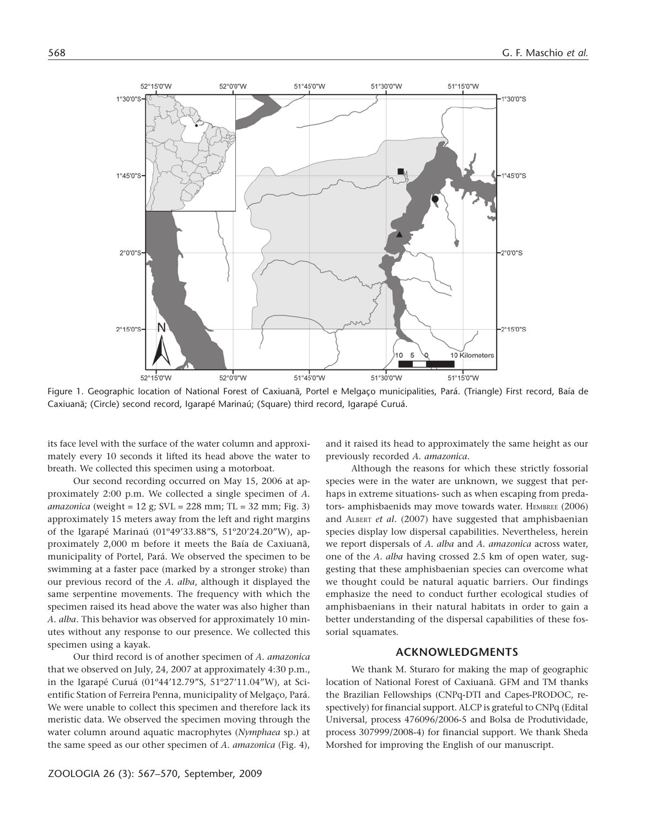

Figure 1. Geographic location of National Forest of Caxiuanã, Portel e Melgaço municipalities, Pará. (Triangle) First record, Baía de Caxiuanã; (Circle) second record, Igarapé Marinaú; (Square) third record, Igarapé Curuá.

its face level with the surface of the water column and approximately every 10 seconds it lifted its head above the water to breath. We collected this specimen using a motorboat.

Our second recording occurred on May 15, 2006 at approximately 2:00 p.m. We collected a single specimen of *A. amazonica* (weight = 12 g; SVL = 228 mm; TL = 32 mm; Fig. 3) approximately 15 meters away from the left and right margins of the Igarapé Marinaú (01º49'33.88"S, 51º20'24.20"W), approximately 2,000 m before it meets the Baía de Caxiuanã, municipality of Portel, Pará. We observed the specimen to be swimming at a faster pace (marked by a stronger stroke) than our previous record of the *A. alba*, although it displayed the same serpentine movements. The frequency with which the specimen raised its head above the water was also higher than *A. alba*. This behavior was observed for approximately 10 minutes without any response to our presence. We collected this specimen using a kayak.

Our third record is of another specimen of *A. amazonica* that we observed on July, 24, 2007 at approximately 4:30 p.m., in the Igarapé Curuá (01º44'12.79"S, 51º27'11.04"W), at Scientific Station of Ferreira Penna, municipality of Melgaço, Pará. We were unable to collect this specimen and therefore lack its meristic data. We observed the specimen moving through the water column around aquatic macrophytes (*Nymphaea* sp.) at the same speed as our other specimen of *A. amazonica* (Fig. 4),

and it raised its head to approximately the same height as our previously recorded *A. amazonica*.

Although the reasons for which these strictly fossorial species were in the water are unknown, we suggest that perhaps in extreme situations- such as when escaping from predators- amphisbaenids may move towards water. HEMBREE (2006) and ALBERT *et al.* (2007) have suggested that amphisbaenian species display low dispersal capabilities. Nevertheless, herein we report dispersals of *A. alba* and *A. amazonica* across water, one of the *A. alba* having crossed 2.5 km of open water*,* suggesting that these amphisbaenian species can overcome what we thought could be natural aquatic barriers. Our findings emphasize the need to conduct further ecological studies of amphisbaenians in their natural habitats in order to gain a better understanding of the dispersal capabilities of these fossorial squamates.

## **ACKNOWLEDGMENTS**

We thank M. Sturaro for making the map of geographic location of National Forest of Caxiuanã. GFM and TM thanks the Brazilian Fellowships (CNPq-DTI and Capes-PRODOC, respectively) for financial support. ALCP is grateful to CNPq (Edital Universal, process 476096/2006-5 and Bolsa de Produtividade, process 307999/2008-4) for financial support. We thank Sheda Morshed for improving the English of our manuscript.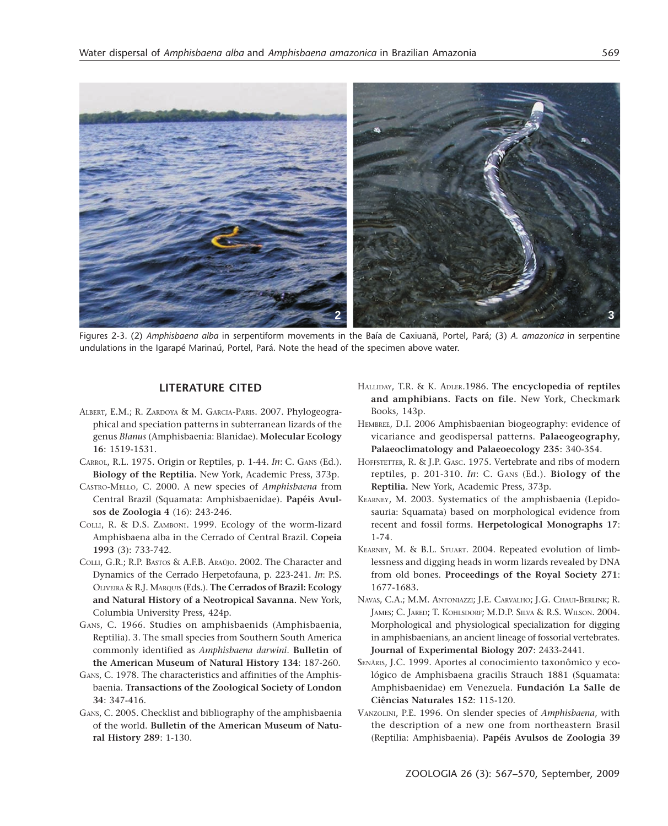

Figures 2-3. (2) *Amphisbaena alba* in serpentiform movements in the Baía de Caxiuanã, Portel, Pará; (3) *A. amazonica* in serpentine undulations in the Igarapé Marinaú, Portel, Pará. Note the head of the specimen above water.

## **LITERATURE CITED**

- ALBERT, E.M.; R. ZARDOYA & M. GARCIA-PARIS. 2007. Phylogeographical and speciation patterns in subterranean lizards of the genus *Blanus* (Amphisbaenia: Blanidae). **Molecular Ecology 16**: 1519-1531.
- CARROL, R.L. 1975. Origin or Reptiles, p. 1-44. *In*: C. GANS (Ed.). **Biology of the Reptilia.** New York, Academic Press, 373p.
- CASTRO-MELLO, C. 2000. A new species of *Amphisbaena* from Central Brazil (Squamata: Amphisbaenidae). **Papéis Avulsos de Zoologia 4** (16): 243-246.
- COLLI, R. & D.S. ZAMBONI. 1999. Ecology of the worm-lizard Amphisbaena alba in the Cerrado of Central Brazil. **Copeia 1993** (3): 733-742.
- COLLI, G.R.; R.P. BASTOS & A.F.B. ARAÚJO. 2002. The Character and Dynamics of the Cerrado Herpetofauna, p. 223-241. *In*: P.S. OLIVEIRA & R.J. MARQUIS (Eds.). **The Cerrados of Brazil: Ecology and Natural History of a Neotropical Savanna.** New York, Columbia University Press, 424p.
- GANS, C. 1966. Studies on amphisbaenids (Amphisbaenia, Reptilia). 3. The small species from Southern South America commonly identified as *Amphisbaena darwini*. **Bulletin of the American Museum of Natural History 134**: 187-260.
- GANS, C. 1978. The characteristics and affinities of the Amphisbaenia. **Transactions of the Zoological Society of London 34**: 347-416.
- GANS, C. 2005. Checklist and bibliography of the amphisbaenia of the world. **Bulletin of the American Museum of Natural History 289**: 1-130.
- HALLIDAY, T.R. & K. ADLER.1986. **The encyclopedia of reptiles and amphibians. Facts on file.** New York, Checkmark Books, 143p.
- HEMBREE, D.I. 2006 Amphisbaenian biogeography: evidence of vicariance and geodispersal patterns. **Palaeogeography, Palaeoclimatology and Palaeoecology 235**: 340-354.
- HOFFSTETTER, R. & J.P. GASC. 1975. Vertebrate and ribs of modern reptiles, p. 201-310. *In*: C. GANS (Ed.). **Biology of the Reptilia.** New York, Academic Press, 373p.
- KEARNEY, M. 2003. Systematics of the amphisbaenia (Lepidosauria: Squamata) based on morphological evidence from recent and fossil forms. **Herpetological Monographs 17**: 1-74.
- KEARNEY, M. & B.L. STUART. 2004. Repeated evolution of limblessness and digging heads in worm lizards revealed by DNA from old bones. **Proceedings of the Royal Society 271**: 1677-1683.
- NAVAS, C.A.; M.M. ANTONIAZZI; J.E. CARVALHO; J.G. CHAUI-BERLINK; R. JAMES; C. JARED; T. KOHLSDORF; M.D.P. SILVA & R.S. WILSON. 2004. Morphological and physiological specialization for digging in amphisbaenians, an ancient lineage of fossorial vertebrates. **Journal of Experimental Biology 207**: 2433-2441.
- SENÃRIS, J.C. 1999. Aportes al conocimiento taxonômico y ecológico de Amphisbaena gracilis Strauch 1881 (Squamata: Amphisbaenidae) em Venezuela. **Fundación La Salle de Ciências Naturales 152**: 115-120.
- VANZOLINI, P.E. 1996. On slender species of *Amphisbaena*, with the description of a new one from northeastern Brasil (Reptilia: Amphisbaenia). **Papéis Avulsos de Zoologia 39**